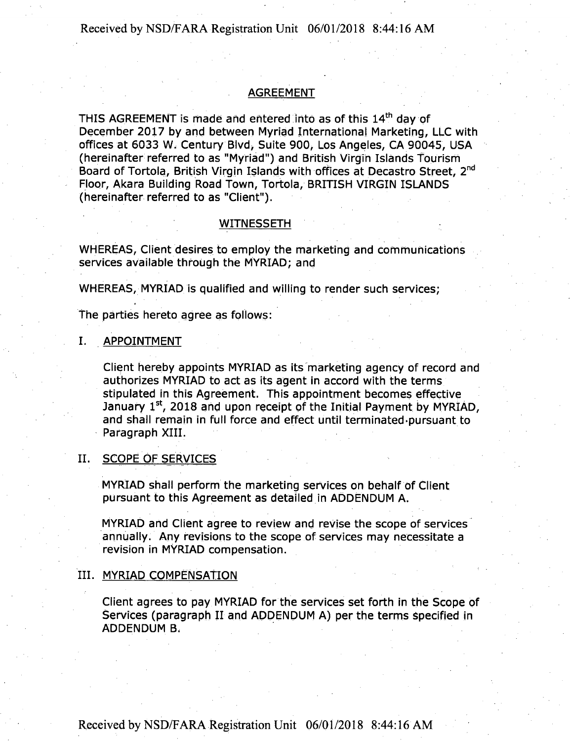## AGREEMENT

THIS AGREEMENT is made and entered into as of this 14<sup>th</sup> day of December 2017 by and between Myriad International Marketing, LLC with offices at 6033 W. Century Blvd, Suite 900, Los Angeles, CA 90045, USA (hereinafter referred to as "Myriad") and British Virgin Islands Tourism Board of Tortola, British Virgin Islands with offices at Decastro Street, 2nd Floor, Akara Building Road Town, Tortola, BRITISH VIRGIN ISLANDS (hereinafter referred to as "Client").

#### WITNESSETH

WHEREAS, Client desires to employ the marketing and Communications services available through the MYRIAD; and

WHEREAS, MYRIAD is qualified and willing to render such services;

The parties hereto agree as follows:

#### I. APPOINTMENT

Client hereby appoints MYRIAD as its marketing agency of record and authorizes MYRIAD to act as its agent in accord with the terms stipulated in this Agreement. This appointment becomes effective January  $1<sup>st</sup>$ , 2018 and upon receipt of the Initial Payment by MYRIAD, and shall remain in full force and effect until terminated pursuant to Paragraph XIII.

## II. SCOPE OF SERVICES

MYRIAD shall perform the marketing services on behalf of Client pursuant to this Agreement as detailed in ADDENDUM A.

MYRIAD and Client agree to review and revise the scope of services annually. Any revisions to the scope of services may necessitate a revision in MYRIAD compensation.

## III. MYRIAD COMPENSATION

Client agrees to pay MYRIAD for the services set forth in the Scope of Services (paragraph II and ADDENDUM A) per the terms Specified in ADDENDUM B.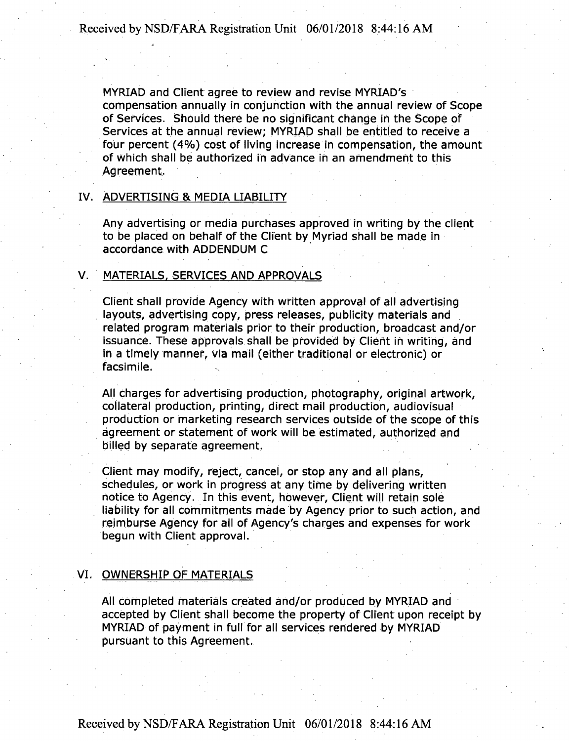MYRIAD and Client agree to review and revise MYRIAD'S compensation annually in conjunction with the annual review of Scope of Services. Should there be no significant change in the Scope of Services at the annual review; MYRIAD shall be entitled to receive a four percent (4%) cost of living increase in compensation, the amount of which shall be authorized in advance in an amendment to this Agreement.

## IV. ADVERTISING & MEDIA LIABILITY

Any advertising or media purchases approved in writing by the client to be placed on behalf of the Client by Myriad shall be made in accordance with ADDENDUM C

## V. MATERIALS. SERVICES AND APPROVALS

Client shall provide Agency with written approval of all advertising layouts, advertising copy, press releases, publicity materials and related program materials prior to their production, broadcast and/or issuance. These approvals shall be provided by Client in writing, and in a timely manner, via mail (either traditional or electronic) or facsimile.

All charges for advertising production, photography, original artwork, collateral production, printing, direct mail production, audiovisual production or marketing research services outside of the scope of this agreement or statement of work will be estimated, authorized and billed by separate agreement.

Client may modify, reject, cancel, or stop any and all plans, schedules, or work in progress at any time by delivering written notice to Agency. In this event, however, Client will retain sole liability for all commitments made by Agency prior to such action, and reimburse Agency for all of Agency's charges and expenses for work begun with Client approval.

## VI. OWNERSHIP OF MATERIALS

All completed materials created and/or produced by MYRIAD and accepted by Client shall become the property of Client upon receipt by MYRIAD of payment in full for all services rendered by MYRIAD pursuant to this Agreement.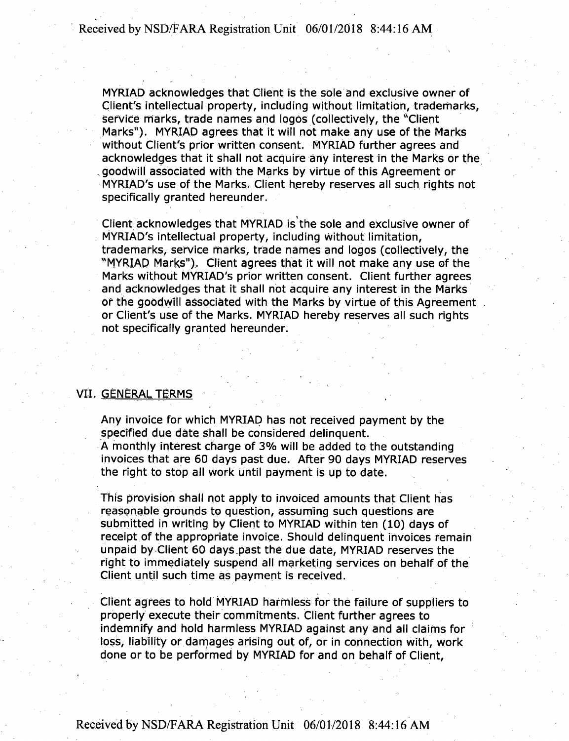MYRIAD acknowledges that Client is the sole and exclusive owner of Client's intellectual property, including without limitation, trademarks, service marks, trade names and logos (collectively, the "Client Marks"). MYRIAD agrees that it will not make any use of the Marks without Client's prior written consent. MYRIAD further agrees and acknowledges that it shall not acquire any interest in the Marks or the goodwill associated with the Marks by virtue of this Agreement or MYRIAD'S use of the Marks. Client hereby reserves all such rights not specifically granted hereunder.

Client acknowledges that MYRIAD is the sole and exclusive owner of MYRIAD'S intellectual property, including without limitation, trademarks, service marks, trade names and logos (collectively, the "MYRIAD Marks"), Client agrees that it will not make any use of the Marks without MYRIAD'S prior written consent. Client further agrees and acknowledges that it shall not acquire any interest in the Marks or the goodwill associated with the Marks by virtue of this Agreement or Client's use of the Marks. MYRIAD hereby reserves all such rights not specifically granted hereunder.

#### VII. GENERAL TERMS

Any invoice for which MYRIAD has not received payment by the specified due date Shall be Considered delinquent. A monthly interest charge of 3% will be added to the outstanding invoices that are 60 days past due. After 90 days MYRIAD reserves the right to stop all work until payment is up to date.

This provision shall not apply to invoiced amounts that Client has reasonable grounds to question, assuming such questions are submitted in writing by Client to MYRIAD within ten (10) days of receipt of the appropriate invoice. Should delinquent invoices remain unpaid by Client 60 days past the due date, MYRIAD reserves the right to immediately suspend all marketing services on behalf of the Client until such time as payment is received.

Client agrees to hold MYRIAD harmless for the failure of suppliers to properly execute their commitments. Client further agrees to indemnify and hold harmless MYRIAD against any and all claims for loss, liability or damages arising out of, or in connection with, work done or to be performed by MYRIAD for and on behalf of Client,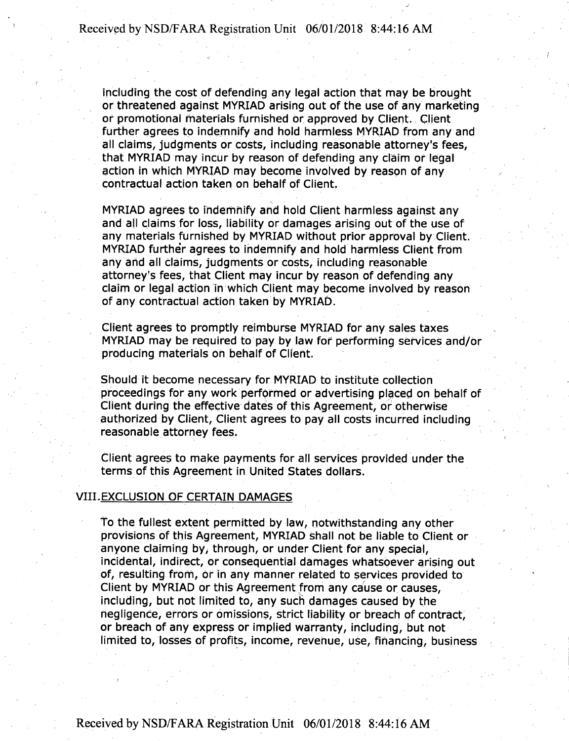including the cost of defending any legal action that may be brought or threatened against MYRIAD arising out of the use of any marketing or promotional materials furnished or approved by Client. Client further agrees to indemnify and hold harmless MYRIAD from any and all claims, judgments or costs, including reasonable attorney's fees, that MYRIAD may incur by reason of defending any claim or legal action in which MYRIAD may become involved by reason of any contractual action taken on behalf of Client.

MYRIAD agrees to indemnify and hold Client harmless against any and all claims for loss, liability or damages arising out of the use of any materials furnished by MYRIAD without prior approval by Client. MYRIAD furthe'r agrees to indemnify and hold harmless Client from any and all claims, judgments or costs, including reasonable attorney's fees, that Client may incur by reason of defending any claim or legal action in which Client may become involved by reason of any contractual action taken by MYRIAD.

Client agrees to promptly reimburse MYRIAD for any sales taxes MYRIAD may be required to pay by law for performing services and/or producing materials on behalf of Client.

Should it become necessary for MYRIAD to institute collection proceedings for any work performed or advertising placed on behalf of Client during the effective dates of this Agreement, or otherwise authorized by Client, Client agrees to pay all costs incurred including reasonable attorney fees.

Client agrees to make payments for all services provided under the terms of this Agreement in United States dollars.

## VIII.EXCLUSION OF CERTAIN DAMAGES

To the fullest extent permitted by law, notwithstanding any other provisions of this Agreement, MYRIAD shall not be liable to Client or anyone claiming by, through, or under Client for any special, incidental, indirect, or consequential damages whatsoever arising out of, resulting from, Or in any manner related to services provided to Client by MYRIAD or this Agreement from any cause or causes, including, but not limited to, any such damages caused by the negligence, errors or omissions, strict liability or breach of contract, or breach of any express or implied warranty, including, but not limited to, losses of profits, income, revenue, use, financing, business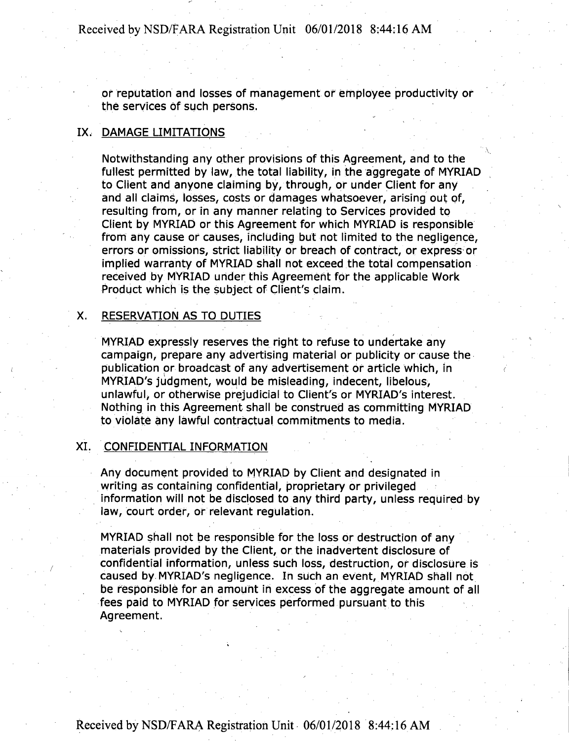or reputation and losses of management or employee productivity or the services of such persons.

## IX, DAMAGE LIMITATIONS

Notwithstanding any other provisions of this Agreement, and to the fullest permitted by law, the total liability, in the aggregate of MYRIAD to Client and anyone claiming by, through, or under Client for any and all claims, losses, costs or damages whatsoever, arising out of, resulting from, or in any manner relating to Services provided to Client by MYRIAD or this Agreement for which MYRIAD is responsible from any cause or causes, including but not limited to the negligence, errors or omissions, strict liability or breach of contract, or express or implied warranty of MYRIAD Shall not exceed the total compensation received by MYRIAD under this Agreement for the applicable Work Product which is the subject of Client's claim.

## X. RESERVATION AS TO DUTIES

MYRIAD expressly reserves the right to refuse to undertake any campaign, prepare any advertising material or publicity or cause the publication or broadcast of any advertisement or article which, in MYRIAD'S judgment, would be misleading, indecent, libelous, unlawful, or otherwise prejudicial to Client's or MYRIAD'S interest. Nothing in this Agreement shall be construed as committing MYRIAD to violate any lawful contractual commitments to media.

## XI. CONFIDENTIAL INFORMATION

Any document provided to MYRIAD by Client and designated in writing as containing confidential, proprietary or privileged information will not be disclosed to any third party, unless required by law, court order, or relevant regulation.

MYRIAD shall not be responsible for the loss or destruction of any materials provided by the Client, or the inadvertent disclosure of confidential information, unless such loss, destruction, of disclosure is caused by MYRIAD'S negligence. In such an event, MYRIAD shall not be responsible for an amount in excess of the aggregate amount of all fees paid to MYRIAD for services performed pursuant to this Agreement.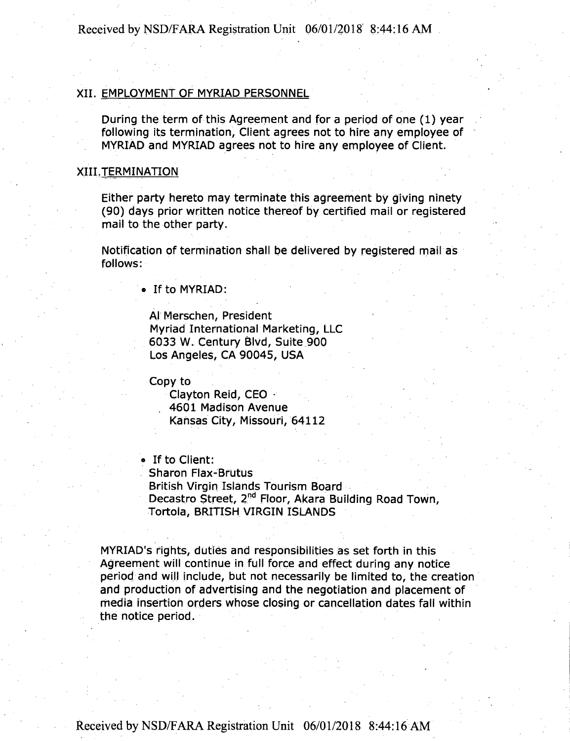## XII. EMPLOYMENT OF MYRIAD PERSONNEL

During the term of this Agreement and for a period of one (1) year following its termination, Client agrees not to hire any employee of MYRIAD and MYRIAD agrees not to hire any employee of Client.

## XIII.TERMINATION

Either party hereto may terminate this agreement by giving ninety (90) days prior written notice thereof by certified mail or registered mail to the other party.

Notification of termination shall be delivered by registered mail as follows:

® If to MYRIAD:

AJ Merschen, President Myriad International Marketing, LLC 6033 W. Century Blvd, Suite 900 Los Angeles, CA 90045, USA

Copy to

Clayton Reid, CEO - , 4601 Madison Avenue Kansas City, Missouri, 64112

• If to Client:

Sharon Flax-Brutus British Virgin Islands Tourism Board Decastro Street, 2<sup>nd</sup> Floor, Akara Building Road Town, Tortola, BRITISH VIRGIN ISLANDS

MYRIAD'S rights, duties and responsibilities as set forth in this Agreement will continue in full force and effect during any notice period and will include, but not necessarily be limited to, the creation and production of advertising and the negotiation and placement of media insertion orders whose closing or cancellation dates fall within the notice period.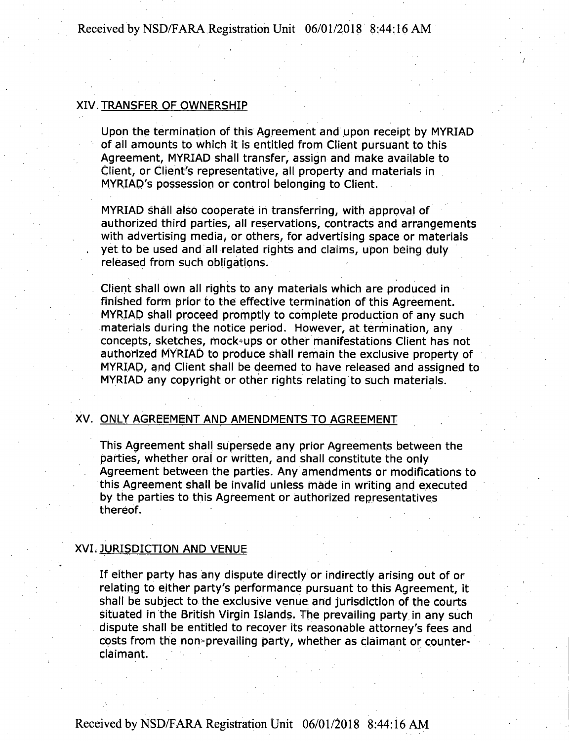## XIV. TRANSFER OF OWNERSHIP

Upon the termination of this Agreement and upon receipt by MYRIAD of all amounts to which it is entitled from Client pursuant to this Agreement, MYRIAD shall transfer, assign and make available to Client, or Client's representative, all property and materials in MYRIAD'S possession or control belonging to Client.

MYRIAD shall also cooperate in transferring, with approval of authorized third parties, all reservations, contracts and arrangements with advertising media; or others, for advertising space or materials yet to be used and all related rights and claims, upon being duly released from such obligations.

Client shall own all rights to any materials which are produced in finished form prior to the effective termination of this Agreement. MYRIAD shall proceed promptly to complete production of any such materials during the notice period. However, at termination, any concepts, sketches, mock-ups or other manifestations Client has not authorized MYRIAD to produce shall remain the exclusive property of MYRIAD, and Client shall be deemed to have released and assigned to MYRIAD any copyright or other rights relating to such materials.

## XV. ONLY AGREEMENT AND AMENDMENTS TO AGREEMENT

This Agreement shall supersede any prior Agreements between the parties, whether oral or written, and shall constitute the only Agreement between the parties. Any amendments or modifications to this Agreement shall be invalid unless made in writing and executed by the parties to this Agreement or authorized representatives thereof.

#### XVI. JURISDICTION AND VENUE

If either party has any dispute directly or indirectly arising out of or relating to either party's performance pursuant to this Agreement, it shall be subject to the exclusive venue and jurisdiction of the courts situated in the British Virgin Islands. The prevailing party in any such dispute shall be entitled to recover its reasonable attorney's fees and costs from the non-prevailing party, whether as claimant or counterclaimant.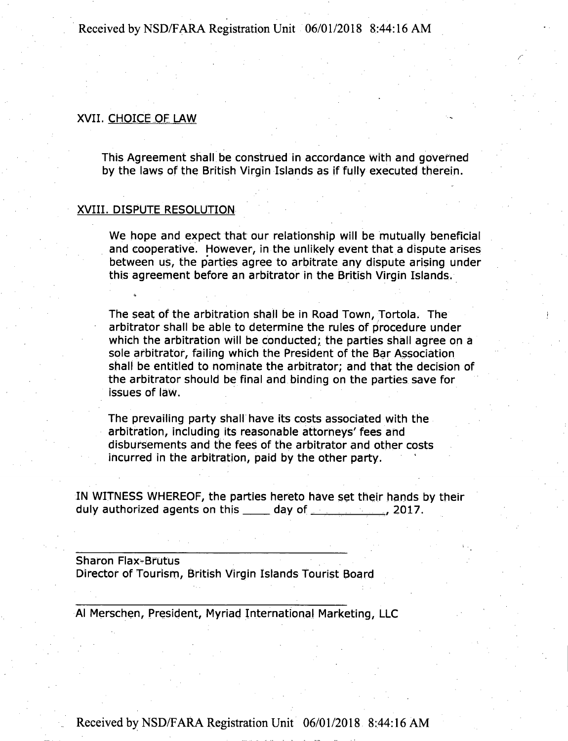## XVII. CHOICE OF LAW

This Agreement shall be construed in accordance with and governed by the laws of the British Virgin Islands as if fully executed therein.

### XVIII. DISPUTE RESOLUTION

We hope and expect that our relationship will be mutually beneficial and cooperative. However, in the unlikely event that a dispute arises between us, the parties agree to arbitrate any dispute arising under this agreement before an arbitrator in the British Virgin Islands.

The seat of the arbitration shall be in Road Town, Tortola. The arbitrator shall be able to determine the rules of procedure under which the arbitration will be conducted; the parties shall agree on a sole arbitrator, failing which the President of the Bar Association shall be entitled to nominate the arbitrator; and that the decision of the arbitrator should be final and binding on the parties save for issues of law.

The prevailing party shall have its costs associated with the arbitration, including its reasonable attorneys' fees and disbursements and the fees of the arbitrator and other costs incurred in the arbitration, paid by the other party.

IN WITNESS WHEREOF, the parties hereto have set their hands by their duly authorized agents on this day of 2017.

Sharon Flax-Brutus Director of Tourism, British Virgin Islands Tourist Board

Al Merschen, President, Myriad International Marketing, LLC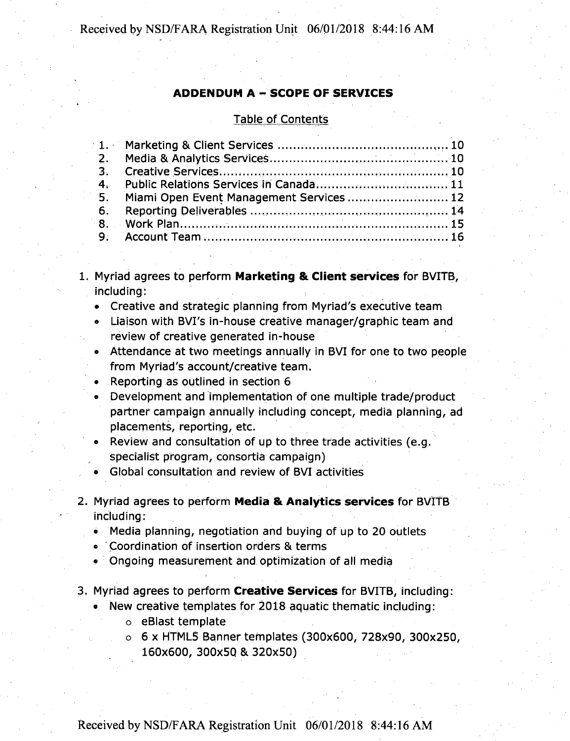## **ADDENDUM <sup>A</sup> - SCOPE OF SERVICES**

#### Table of Contents

|                | <b>Table of Contents</b>                 |  |
|----------------|------------------------------------------|--|
|                |                                          |  |
| 2.             |                                          |  |
| 3.             |                                          |  |
| 4.             |                                          |  |
| -5.            | Miami Open Event Management Services  12 |  |
| 6.             |                                          |  |
| 8 <sub>1</sub> |                                          |  |
| 9.             |                                          |  |
|                |                                          |  |
|                |                                          |  |

1. Myriad agrees to perform **Marketing & Client services** for BVITB, including:

- Creative and strategic planning from Myriad's executive team
- Liaison with BVI's in-house creative manager/graphic team and review of creative generated in-house
- Attendance at two meetings annually in BVI for one to two people from Myriad's account/creative team.
- Reporting as outlined in section 6
- Development and implementation of one multiple trade/product partner campaign annually including Concept, media planning, ad placements, reporting, etc.
- Review and consultation of up to three trade activities (e.g. specialist program, consortia campaign)
- Global consultation and review of BVI activities
- 2. Myriad agrees to perform **Media** & **Analytics services** for BVITB including:
	- Media planning, negotiation and buying of up to 20 outlets
	- Coordination of insertion orders & terms
	- Ongoing measurement and optimization of all media
- 3. Myriad agrees to perform **Creative Services** for BVITB, including:
	- New creative templates for 2018 aquatic thematic including:
		- o eBlast template
		- o 6 x HTML5 Banner templates (300x600, 728x90, 300x250, 160x600, 300x50 & 320x50)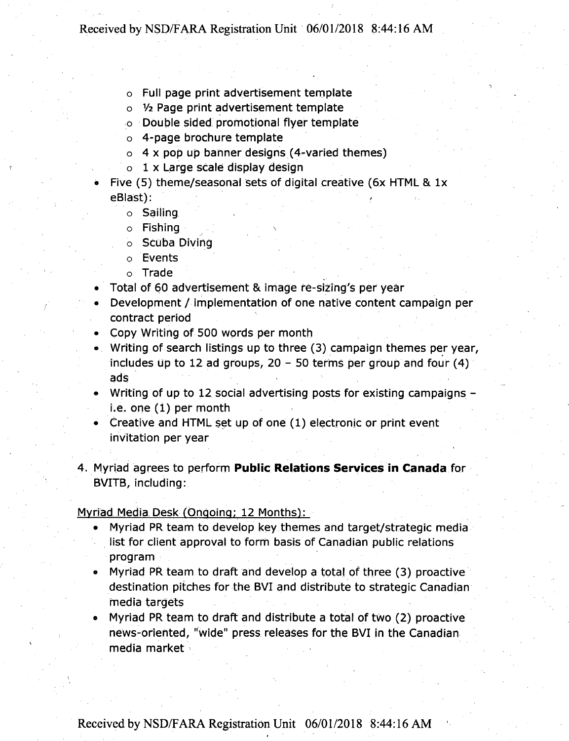- o Full page print advertisement template
- o *Vi* Page print advertisement template
- o Double sided promotional flyer template
- o 4-page brochure template
- $\circ$  4 x pop up banner designs (4-varied themes)
- o 1 x Large scale display design
- Five (5) theme/seasonal sets of digital creative (6x HTML & lx eBlast):
	- o Sailing
	- o Fishing \
	- o Scuba Diving
	- o Events
	- o Trade
- Total of 60 advertisement & image re-sizing's per year
- Development / implementation of one native content campaign per contract period
- Copy Writing of 500 words per month
- Writing of search listings up to three (3) campaign themes per year, includes up to 12 ad groups,  $20 - 50$  terms per group and four (4) ads
- Writing of up to 12 social advertising posts for existing campaigns i.e. one (1) per month
- Creative and HTML set up of one (1) electronic or print event invitation per year
- **4.** Myriad agrees to perform **Public Relations Services in Canada** for BVITB, including:

Myriad Media.Desk (Ongoing; 12 Months):

- Myriad PR team to develop key themes and target/strategic media list for client approval to form basis of Canadian public relations program
- Myriad PR team to draft and develop a total of three (3) proactive destination pitches for the BVI and distribute to strategic Canadian media targets
- **Myriad PR team to draft and distribute a total of two (2) proactive news-oriented, "wide" press releases for the BVI in the Canadian media market**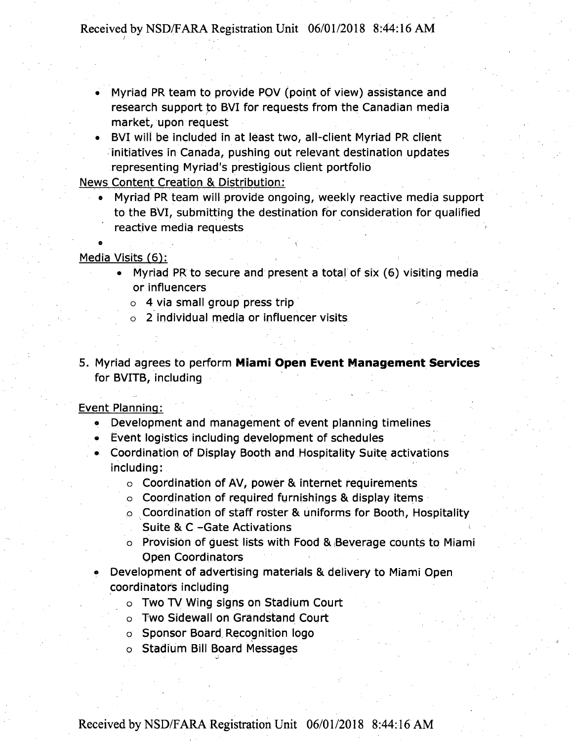- Myriad PR team to provide POV (point of view) assistance and research support to BVI for requests from the Canadian media market, upon request
- BVI will be included in at least two, all-client Myriad PR client initiatives in Canada, pushing out relevant destination updates representing Myriad's prestigious client portfolio

News Content Creation & Distribution:

• Myriad PR team will provide ongoing, weekly reactive media support to the BVI, submitting the destination for consideration for qualified reactive media requests

## Media Visits (6):

- Myriad PR to secure and present a total of six (6) visiting media or influences
	- o 4 via small group press trip

• »•

- o 2 individual media or influencer visits
- 5. Myriad agrees to perform Miami Open Event Management Services for BVITB, including

### Event Planning:

- Development and management of event planning timelines
- Event logistics including development of schedules
- Coordination of Display Booth and Hospitality Suite activations including:
	- $\circ$  Coordination of AV, power & internet requirements
	- o Coordination of required furnishings & display items
	- o Coordination of staff roster & uniforms for Booth, Hospitality
		- Suite & C -Gate Activations
	- o Provision of guest lists with Food & Beverage counts to Miami Open Coordinators
- Development of advertising materials & delivery to Miami Open coordinators including
	- o Two TV Wing signs on Stadium Court
	- o Two Sidewall on Grandstand Court
	- o Sponsor Board Recognition logo
	- o Stadium Bill Board Messages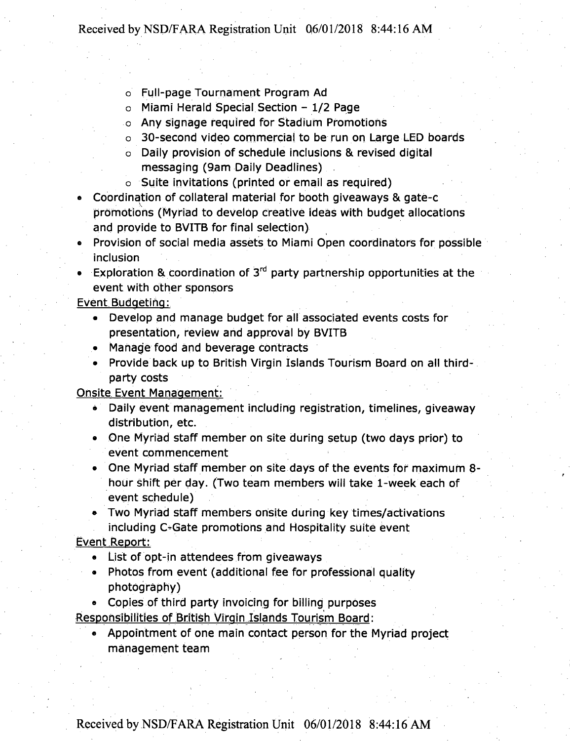- o Full-page Tournament Program Ad
- <sup>o</sup> Miami Herald Special Section 1/2 Page
- o Any signage required for Stadium Promotions
- o 30-second video commercial to be run on Large LED boards
- o Daily provision of schedule inclusions & revised digital messaging (9am Daily Deadlines) .
- o Suite invitations (printed or email as required)
- Coordination of collateral material for booth giveaways 8i gate-c promotions (Myriad to develop creative ideas with budget allocations and provide to BVITB for final selection)
- ® Provision of social media assets to Miami Open coordinators for possible inclusion

• Exploration & coordination of  $3<sup>rd</sup>$  party partnership opportunities at the event with other sponsors

## Event Budgeting:

- Develop and manage budget for all associated events costs for presentation, review and approval by BVITB
- Manage food and beverage Contracts
- Provide back up to British Virgin Islands Tourism Board on all thirdparty costs

## Onsite Event Management:

- Daily event management including registration, timelines, giveaway distribution, etc.
- One Myriad staff member on site during setup (two days prior) to event commencement
- One Myriad staff member on site days of the events for maximum 8 hour shift per day. (Two team members will take 1-week each of event schedule)
- Two Myriad staff members onsite during key times/activations including C-Gate promotions and Hospitality suite event

## Event Report:

- List of opt-in attendees from giveaways
- Photos from event (additional fee for professional quality photography)
- ® Copies of third party invoicing for billing purposes

Responsibilities of British Virgin Islands Tourism Board:

® Appointment of one main contact person for the Myriad project management team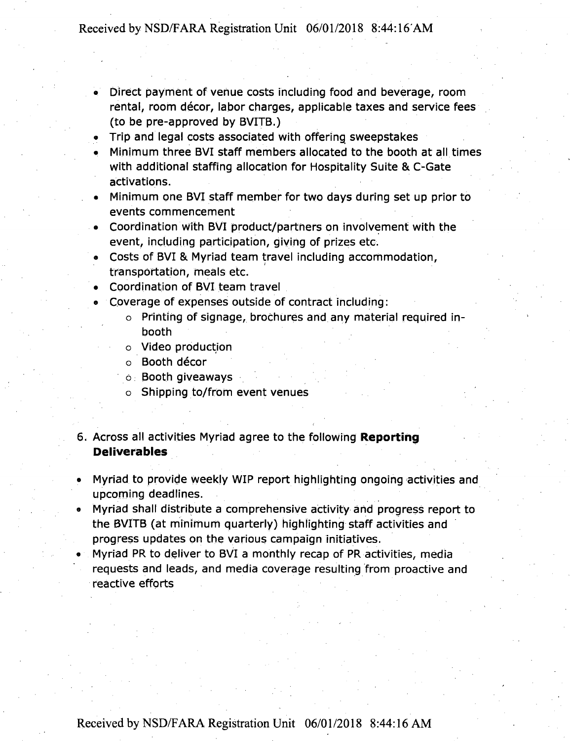- Direct payment of venue costs including food and beverage, room rental, room décor, labor charges, applicable taxes and service fees (to be pre-approved by BVITB.)
- Trip and legal costs associated with offering sweepstakes
- Minimum three BVI staff members allocated to the booth at all times with additional staffing allocation for Hospitality Suite & C-Gate activations.
- Minimum one BVI staff member for two days during set up prior to events commencement
- Coordination with BVI product/partners on involvement with the event, including participation, giving of prizes etc.
- Costs of BVI & Myriad team travel including accommodation, transportation, meals etc.
- Coordination of BVI team travel
- <sup>e</sup> Coverage of expenses outside of contract including:
	- o Printing of signage, brochures and any material required inbooth
	- o Video production
	- o Booth décor
	- o. Booth giveaways
	- o Shipping to/from event venues
- 6. Across all activities Myriad agree to the following **Reporting Deliverables**
- Myriad to provide weekly WIP report highlighting ongoing activities and upcoming deadlines.
- Myriad shall distribute a comprehensive activity and progress report to the BVITB (at minimum quarterly) highlighting staff activities and progress updates on the various campaign initiatives.
- Myriad PR to deliver to BVI a monthly recap of PR activities, media requests and leads, and media coverage resulting from proactive and reactive efforts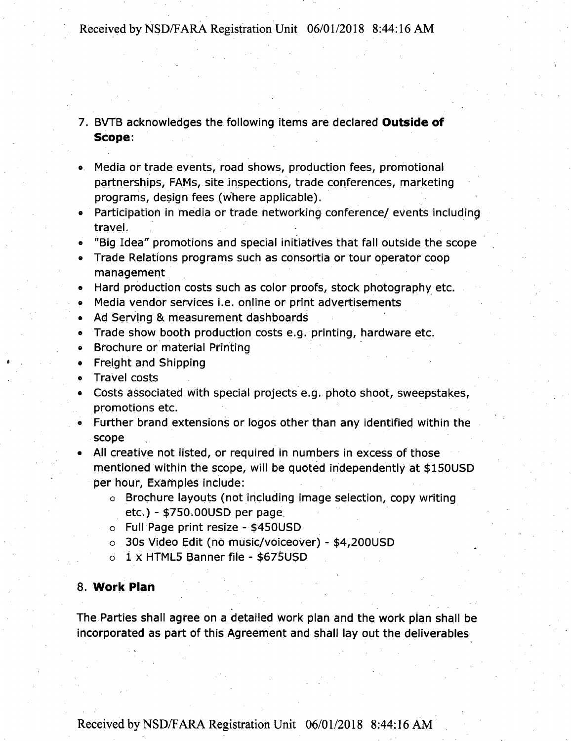7. BVTB acknowledges the following items are declared **Outside of Scope:**

- ® Media or trade events, road shows, production fees, promotional partnerships, FAMs, site inspections, trade conferences, marketing programs, design fees (where applicable).
- Participation in media or trade networking conference/ events including travel.
- « "Big Idea" promotions and special initiatives that fall outside the scope
- Trade Relations programs Such as consortia or tour operator coop management

• Hard production costs such as color proofs, stock photography etc.

- Media vendor services i.e. online or print advertisements
- Ad Serving & measurement dashboards
- Trade show booth production costs e.g. printing, hardware etc.
- Brochure of material Printing
- Freight and Shipping
- Travel costs
- Costs associated with special projects e.g. photo shoot, sweepstakes, promotions etc.
- <sup>e</sup> Further brand extensions or logos other than any identified within the scope
- All creative not listed, or required in numbers in excess of those mentioned within the scope, will be quoted independently at \$150USD per hour, Examples include:
	- o Brochure layouts (not including image selection, copy writing etc.) - \$750.00USD per page
	- o Full Page print resize \$450USD
	- o 30s Video Edit (no music/voiceover) \$4,200USD
	- o <sup>1</sup> x HTML5 Banner file \$675USD

## **8. Work Plan**

The Parties shall agree on a detailed work plan and the work plan shall be incorporated as part of this Agreement and shall lay out the deliverables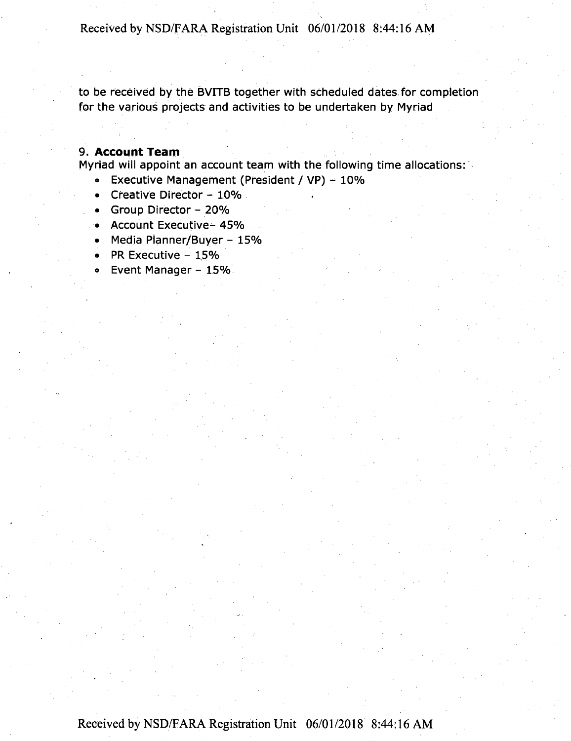to be received by the BVITB together with scheduled dates for completion for the various projects and activities to be undertaken by Myriad

## **9. Account Team**

Myriad will appoint an account team with the following time allocations:

- **•** Executive Management (President / VP)  $10\%$
- Creative Director  $-10\%$
- Group Director 20%
- Account Executive- 45%
- Media Planner/Buyer 15%
- PR Executive  $-15%$
- Event Manager 15%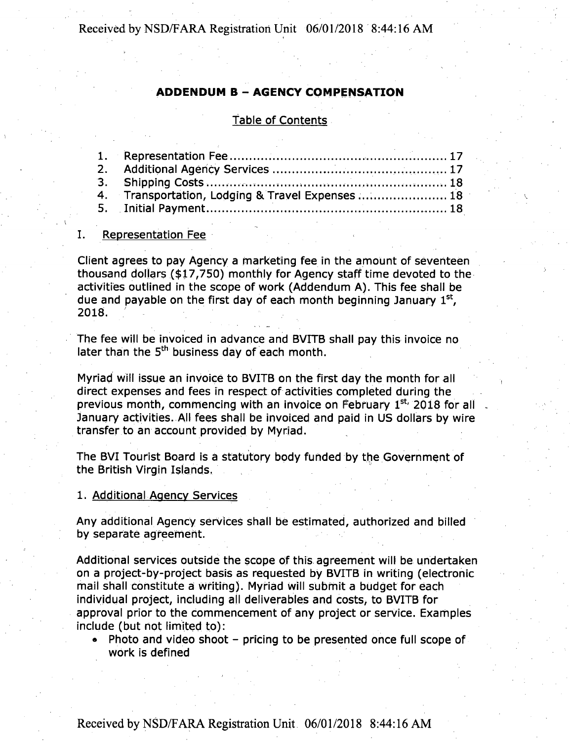## **ADDENDUM <sup>B</sup> - AGENCY COMPENSATION**

## Table of Contents

| 4. Transportation, Lodging & Travel Expenses  18 |
|--------------------------------------------------|
|                                                  |
|                                                  |

#### I. Representation Fee

Client agrees to pay Agency a marketing fee in the amount of seventeen thousand dollars (\$17,750) monthly for Agency staff time devoted to the activities outlined in the scope of work (Addendum A). This fee shall be due and payable on the first day of each month beginning January  $1<sup>st</sup>$ , 2018.

The fee will be invoiced in advance and BVITB shall pay this invoice no later than the 5<sup>th</sup> business day of each month.

Myriad will issue an invoice to BVITB on the first day the month for all direct expenses and fees in respect of activities completed during the previous month, commencing with an invoice on February 1st, 2018 for all January activities. All fees shall be invoiced and paid in US dollars by wire transfer to an account provided by Myriad.

The BVI Tourist Board is a statutory body funded by the Government of the British Virgin Islands.

1. Additional Agency Services

Any additional Agency services shall be estimated, authorized and billed by separate agreement.

Additional services outside the scope of this agreement will be undertaken on a project-by-project basis as requested by BVITB in writing (electronic mail shall constitute a writing). Myriad will submit a budget for each individual project, including all deliverables and costs, to BVITB for approval prior to the commencement of any project or service. Examples include (but not limited to):

• Photo and video shoot - pricing to be presented once full scope of work is defined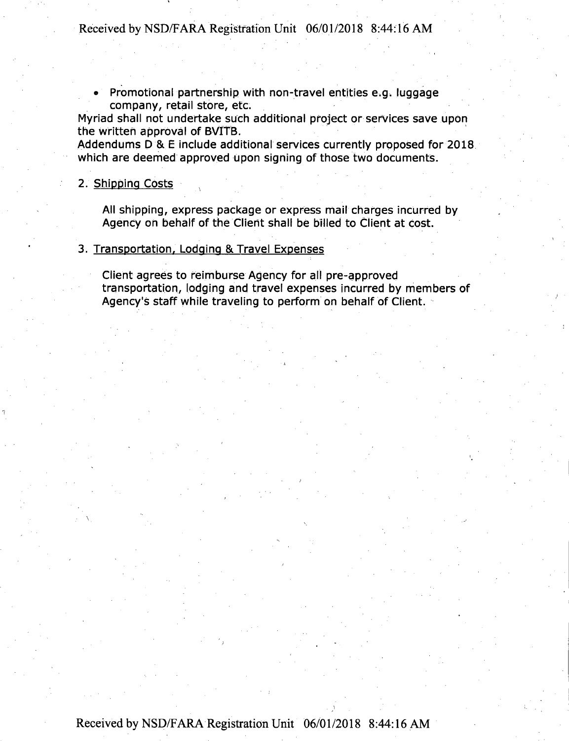• Promotional partnership with non-travel entities e.g. luggage company, retail store, etc.

Myriad shall not undertake such additional project or services save upon the written approval of BVITB.

Addendums D & E include additional services currently proposed for 2018 which are deemed approved upon signing of those two documents.

## 2. Shipping Costs

All shipping, express package or express mail charges incurred by Agency on behalf of the Client shall be billed to Client at cost.

## 3. Transportation, Lodging & Travel Expenses

Client agrees to reimburse Agency for all pre-approved transportation, lodging and travel expenses incurred by members of Agency's staff while traveling to perform on behalf of Client.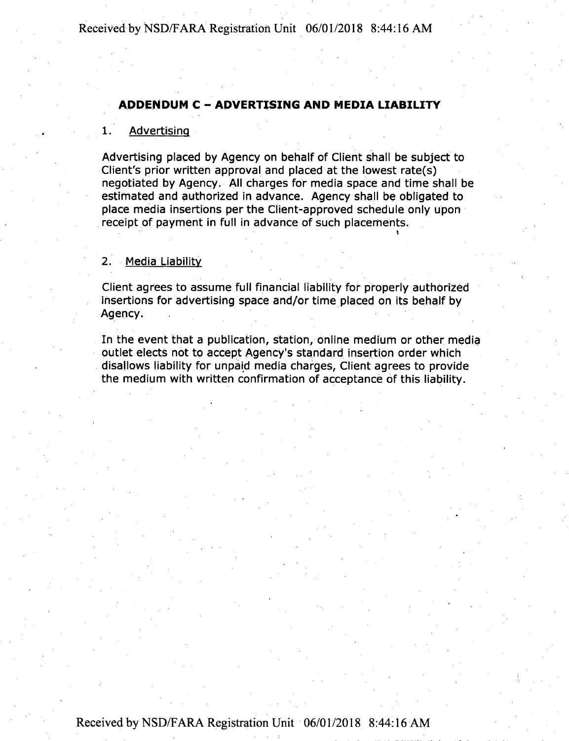## **ADDENDUM <sup>C</sup> - ADVERTISING AND MEDIA LIABILITY**

### 1. Advertising

Advertising placed by Agency on behalf of Client shall be subject to Client's prior written approval and placed at the lowest rate(s) negotiated by Agency. All charges for media space and time shall be estimated and authorized in advance. Agency shall be obligated to place media insertions per the Client-approved schedule only upon receipt of payment in full in advance of such placements.

## 2. Media Liability

Client agrees to assume full financial liability for properly authorized insertions for advertising space and/or time placed on its behalf by Agency.

In the event that a publication, station, online medium or other media outlet elects not to accept Agency's standard insertion order which disallows liability for unpaid media charges, Client agrees to provide the medium with written confirmation of acceptance of this liability.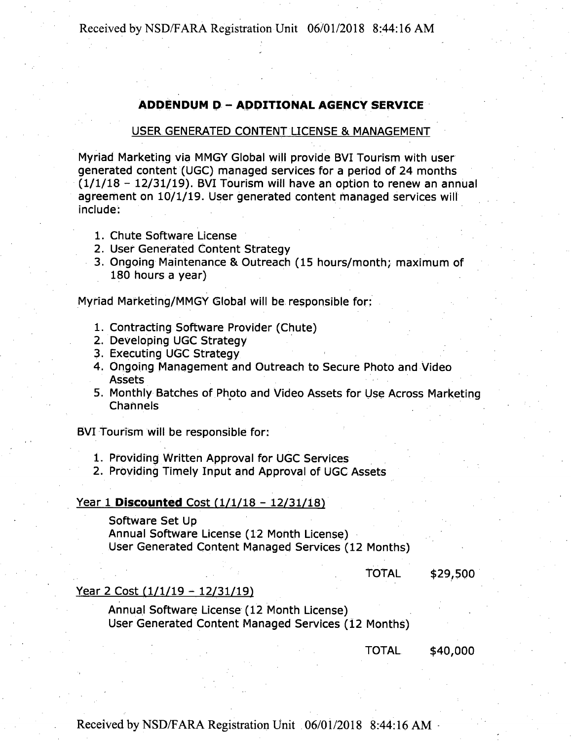## **ADDENDUM <sup>D</sup> - ADDITIONAL AGENCY SERVICE**

#### USER GENERATED CONTENT LICENSE & MANAGEMENT

Myriad Marketing via MMGY Global will provide BVI Tourism with user generated content (UGC) managed services for a period of 24 months  $(1/1/18 - 12/31/19)$ . BVI Tourism will have an option to renew an annual agreement on 10/1/19. User generated content managed services will include:

- 1. Chute Software License
- 2. User Generated Content Strategy
- 3. Ongoing Maintenance & Outreach (15 hours/month; maximum of 180 hours a year)

Myriad Marketing/MMGY Global will be responsible for:

- 1. Contracting Software Provider (Chute)
- 2. Developing UGC Strategy
- 3. Executing UGC Strategy
- 4. Ongoing Management and Outreach to Secure Photo and Video Assets
- 5. Monthly Batches of Photo and Video Assets for Use Across Marketing **Channels**

BVI Tourism will be responsible for:

- 1. Providing Written Approval for UGC Services
- 2. Providing Timely Input and Approval of UGC Assets

#### Year 1 **Discounted** Cost (1/1/18 - 12/31/18)

Software Set Up

Annual Software License (12 Month License) User Generated Content Managed Services (12 Months)

TOTAL \$29,500

### Year 2 Cost (1/1/19 - 12/31/19)

Annual Software License (12 Month License) User Generated Content Managed Services (12 Months)

TOTAL \$40,000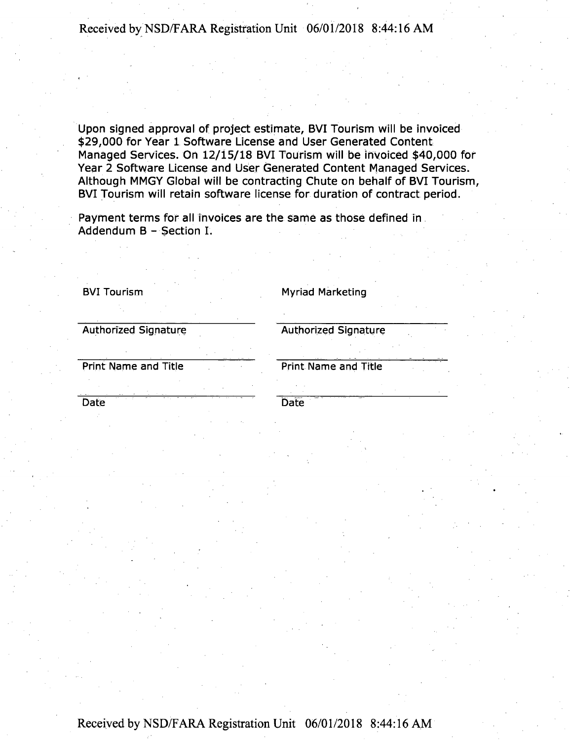Upon signed approval of project estimate, BVI Tourism will be invoiced \$29,000 for Year 1 Software License and User Generated Content Managed Services. On 12/15/18 BVI Tourism will be invoiced \$40,000 for Year 2 Software License and User Generated Content Managed Services. Although MMGY Global will be contracting Chute on behalf of BVI Tourism BVI Tourism will retain software license for duration of contract period.

Payment terms for all invoices are the same as those defined in Addendum B - Section I.

**BVI Tourism Myriad Marketing**

**Authorized Signature Authorized Signature**

**Print Name and Title Print Name and Title**

**Date Date**